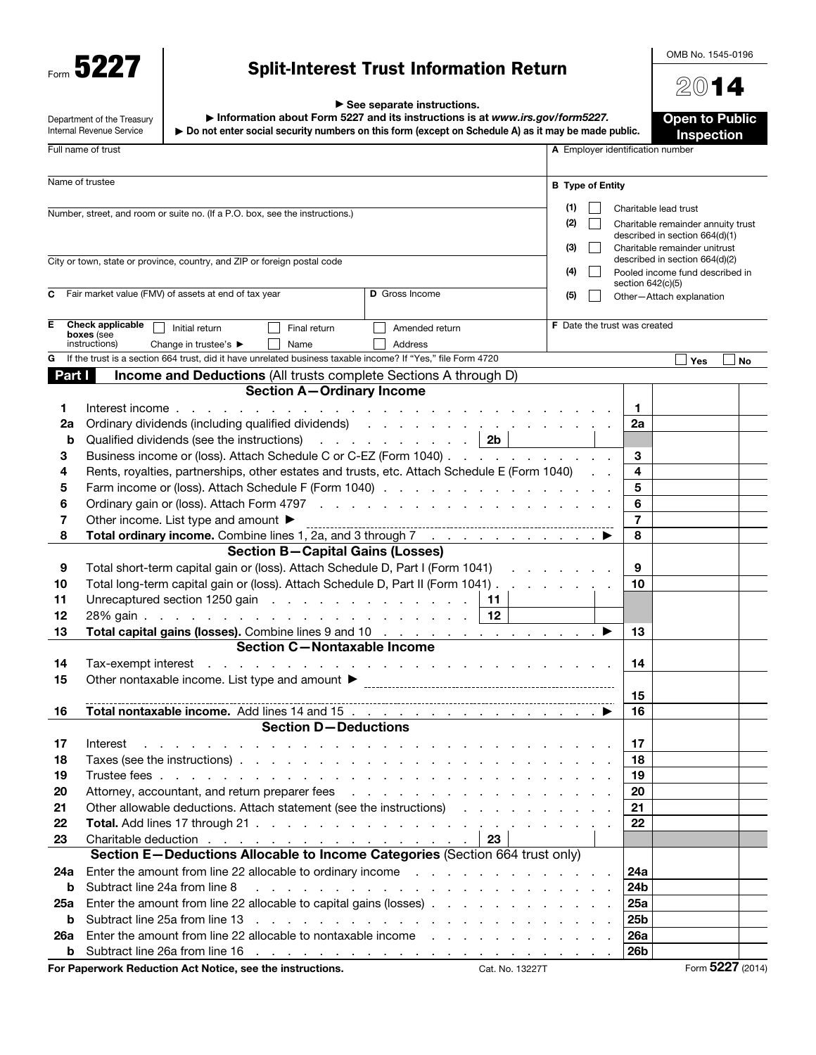Form 5227

# Split-Interest Trust Information Return

OMB No. 1545-0196

2014

| $\triangleright$ See separate instructions. |
|---------------------------------------------|
|---------------------------------------------|

|          | Department of the Treasury<br>Internal Revenue Service | Information about Form 5227 and its instructions is at www.irs.gov/form5227.<br>► Do not enter social security numbers on this form (except on Schedule A) as it may be made public.                                                                                                              |                                                                                                                                                                                                                                |                 |                                     |                       | <b>Open to Public</b><br>Inspection                                                                   |                  |
|----------|--------------------------------------------------------|---------------------------------------------------------------------------------------------------------------------------------------------------------------------------------------------------------------------------------------------------------------------------------------------------|--------------------------------------------------------------------------------------------------------------------------------------------------------------------------------------------------------------------------------|-----------------|-------------------------------------|-----------------------|-------------------------------------------------------------------------------------------------------|------------------|
|          | Full name of trust                                     | A Employer identification number                                                                                                                                                                                                                                                                  |                                                                                                                                                                                                                                |                 |                                     |                       |                                                                                                       |                  |
|          | Name of trustee                                        |                                                                                                                                                                                                                                                                                                   |                                                                                                                                                                                                                                |                 | <b>B</b> Type of Entity             |                       |                                                                                                       |                  |
|          |                                                        | Number, street, and room or suite no. (If a P.O. box, see the instructions.)                                                                                                                                                                                                                      |                                                                                                                                                                                                                                |                 | (1)<br>(2)<br>(3)                   | Charitable lead trust | Charitable remainder annuity trust<br>described in section 664(d)(1)<br>Charitable remainder unitrust |                  |
|          |                                                        | City or town, state or province, country, and ZIP or foreign postal code                                                                                                                                                                                                                          |                                                                                                                                                                                                                                |                 | (4)                                 | section 642(c)(5)     | described in section 664(d)(2)<br>Pooled income fund described in                                     |                  |
| С        |                                                        | Fair market value (FMV) of assets at end of tax year                                                                                                                                                                                                                                              | <b>D</b> Gross Income                                                                                                                                                                                                          |                 | (5)                                 |                       | Other-Attach explanation                                                                              |                  |
| Е        | <b>Check applicable</b><br>boxes (see<br>instructions) | Initial return<br>Final return<br>Change in trustee's ▶<br>Name                                                                                                                                                                                                                                   | Amended return<br>Address                                                                                                                                                                                                      |                 | <b>F</b> Date the trust was created |                       |                                                                                                       |                  |
| G        |                                                        | If the trust is a section 664 trust, did it have unrelated business taxable income? If "Yes," file Form 4720                                                                                                                                                                                      |                                                                                                                                                                                                                                |                 |                                     |                       | <b>Yes</b>                                                                                            | No               |
| Part I   |                                                        | Income and Deductions (All trusts complete Sections A through D)                                                                                                                                                                                                                                  |                                                                                                                                                                                                                                |                 |                                     |                       |                                                                                                       |                  |
| 1.<br>2a | Interest income.                                       | <b>Section A-Ordinary Income</b><br>and the contract of the con-<br>Ordinary dividends (including qualified dividends) (and a series of the series of the series of the series of the series of the series of the series of the series of the series of the series of the series of the series of | the contract of the contract of the contract of the contract of the contract of the contract of the contract of the contract of the contract of the contract of the contract of the contract of the contract of the contract o |                 |                                     | 1.<br>2a              |                                                                                                       |                  |
| b        |                                                        | Qualified dividends (see the instructions) $\cdots$ $\cdots$ $\cdots$ $\cdots$ $\cdots$ $\vert$ 2b $\vert$                                                                                                                                                                                        |                                                                                                                                                                                                                                |                 |                                     |                       |                                                                                                       |                  |
| З        |                                                        | Business income or (loss). Attach Schedule C or C-EZ (Form 1040)                                                                                                                                                                                                                                  |                                                                                                                                                                                                                                |                 |                                     | 3                     |                                                                                                       |                  |
| 4        |                                                        | Rents, royalties, partnerships, other estates and trusts, etc. Attach Schedule E (Form 1040)                                                                                                                                                                                                      |                                                                                                                                                                                                                                |                 |                                     | 4                     |                                                                                                       |                  |
| 5        |                                                        | Farm income or (loss). Attach Schedule F (Form 1040)                                                                                                                                                                                                                                              |                                                                                                                                                                                                                                |                 |                                     | 5                     |                                                                                                       |                  |
| 6        |                                                        |                                                                                                                                                                                                                                                                                                   |                                                                                                                                                                                                                                |                 |                                     | 6                     |                                                                                                       |                  |
| 7        |                                                        | Other income. List type and amount ▶                                                                                                                                                                                                                                                              |                                                                                                                                                                                                                                |                 |                                     | $\overline{7}$        |                                                                                                       |                  |
| 8        |                                                        | Total ordinary income. Combine lines 1, 2a, and 3 through 7 mand and all the set of the set of the set of the set of the set of the set of the set of the set of the set of the set of the set of the set of the set of the s                                                                     |                                                                                                                                                                                                                                |                 |                                     | 8                     |                                                                                                       |                  |
|          |                                                        | <b>Section B-Capital Gains (Losses)</b>                                                                                                                                                                                                                                                           |                                                                                                                                                                                                                                |                 |                                     |                       |                                                                                                       |                  |
| 9        |                                                        | Total short-term capital gain or (loss). Attach Schedule D, Part I (Form 1041)                                                                                                                                                                                                                    |                                                                                                                                                                                                                                |                 |                                     | 9                     |                                                                                                       |                  |
| 10       |                                                        | Total long-term capital gain or (loss). Attach Schedule D, Part II (Form 1041)                                                                                                                                                                                                                    |                                                                                                                                                                                                                                |                 |                                     | 10                    |                                                                                                       |                  |
| 11       |                                                        | Unrecaptured section 1250 gain                                                                                                                                                                                                                                                                    |                                                                                                                                                                                                                                | 11              |                                     |                       |                                                                                                       |                  |
| 12       |                                                        |                                                                                                                                                                                                                                                                                                   |                                                                                                                                                                                                                                | 12              |                                     |                       |                                                                                                       |                  |
| 13       |                                                        | Total capital gains (losses). Combine lines 9 and 10 ▶                                                                                                                                                                                                                                            |                                                                                                                                                                                                                                |                 |                                     | 13                    |                                                                                                       |                  |
|          |                                                        | Section C-Nontaxable Income                                                                                                                                                                                                                                                                       |                                                                                                                                                                                                                                |                 |                                     |                       |                                                                                                       |                  |
| 14       | Tax-exempt interest                                    | and a construction of the construction of the construction of the construction of the construction of the construction of the construction of the construction of the construction of the construction of the construction of                                                                     |                                                                                                                                                                                                                                |                 |                                     | 14                    |                                                                                                       |                  |
| 15       |                                                        |                                                                                                                                                                                                                                                                                                   |                                                                                                                                                                                                                                |                 |                                     |                       |                                                                                                       |                  |
|          |                                                        |                                                                                                                                                                                                                                                                                                   |                                                                                                                                                                                                                                |                 |                                     | 15                    |                                                                                                       |                  |
| 16       |                                                        | <b>Section D-Deductions</b>                                                                                                                                                                                                                                                                       |                                                                                                                                                                                                                                |                 |                                     | 16                    |                                                                                                       |                  |
|          |                                                        |                                                                                                                                                                                                                                                                                                   |                                                                                                                                                                                                                                |                 |                                     |                       |                                                                                                       |                  |
| 17<br>18 | Interest                                               |                                                                                                                                                                                                                                                                                                   |                                                                                                                                                                                                                                |                 |                                     | 17                    |                                                                                                       |                  |
| 19       |                                                        |                                                                                                                                                                                                                                                                                                   |                                                                                                                                                                                                                                |                 |                                     | 18<br>19              |                                                                                                       |                  |
| 20       |                                                        | Attorney, accountant, and return preparer fees reservative and return of the state of the state of the state of the state of the state of the state of the state of the state of the state of the state of the state of the st                                                                    |                                                                                                                                                                                                                                |                 |                                     | 20                    |                                                                                                       |                  |
| 21       |                                                        | Other allowable deductions. Attach statement (see the instructions)                                                                                                                                                                                                                               |                                                                                                                                                                                                                                |                 |                                     | 21                    |                                                                                                       |                  |
| 22       |                                                        |                                                                                                                                                                                                                                                                                                   |                                                                                                                                                                                                                                |                 |                                     | 22                    |                                                                                                       |                  |
| 23       |                                                        | Charitable deduction                                                                                                                                                                                                                                                                              |                                                                                                                                                                                                                                | 23              |                                     |                       |                                                                                                       |                  |
|          |                                                        | Section E-Deductions Allocable to Income Categories (Section 664 trust only)                                                                                                                                                                                                                      |                                                                                                                                                                                                                                |                 |                                     |                       |                                                                                                       |                  |
| 24a      |                                                        | Enter the amount from line 22 allocable to ordinary income                                                                                                                                                                                                                                        |                                                                                                                                                                                                                                |                 |                                     | 24a                   |                                                                                                       |                  |
| b        | Subtract line 24a from line 8                          |                                                                                                                                                                                                                                                                                                   | and a construction of the construction of the construction of the construction of the construction of the construction of the construction of the construction of the construction of the construction of the construction of  |                 |                                     | 24b                   |                                                                                                       |                  |
| 25a      |                                                        | Enter the amount from line 22 allocable to capital gains (losses)                                                                                                                                                                                                                                 |                                                                                                                                                                                                                                |                 |                                     | <b>25a</b>            |                                                                                                       |                  |
| b        |                                                        | Subtract line 25a from line 13 (edge) and contact the contact the 25a from line 13 (edge) and contact the contact of the contact of the 25a from line 13 (edge) and contact the contact of the 25a from line 25a from line 13                                                                     |                                                                                                                                                                                                                                |                 |                                     | 25 <sub>b</sub>       |                                                                                                       |                  |
| 26a      |                                                        | Enter the amount from line 22 allocable to nontaxable income                                                                                                                                                                                                                                      |                                                                                                                                                                                                                                |                 |                                     | <b>26a</b>            |                                                                                                       |                  |
| b        |                                                        |                                                                                                                                                                                                                                                                                                   |                                                                                                                                                                                                                                |                 |                                     | <b>26b</b>            |                                                                                                       |                  |
|          |                                                        | For Paperwork Reduction Act Notice, see the instructions.                                                                                                                                                                                                                                         |                                                                                                                                                                                                                                | Cat. No. 13227T |                                     |                       |                                                                                                       | Form 5227 (2014) |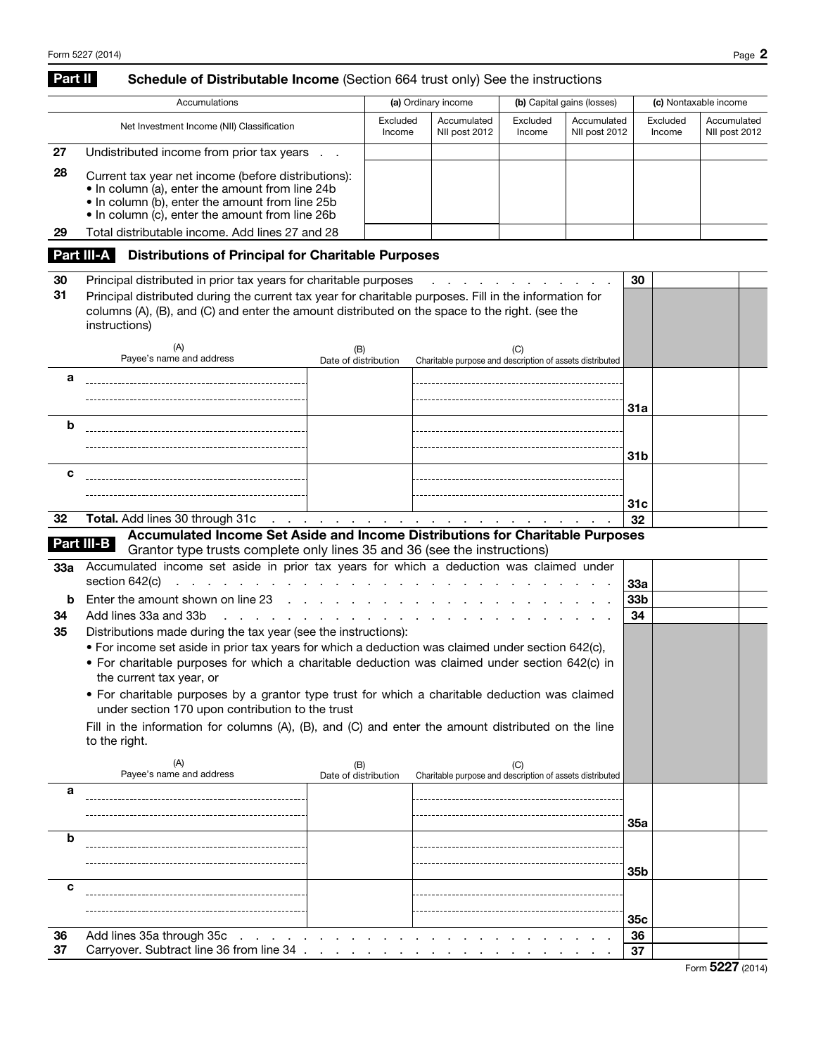## Part II Schedule of Distributable Income (Section 664 trust only) See the instructions

|    | Accumulations                                                                                                                                                                                                |                    | (a) Ordinary income          |                    | (b) Capital gains (losses)   | (c) Nontaxable income |                              |  |
|----|--------------------------------------------------------------------------------------------------------------------------------------------------------------------------------------------------------------|--------------------|------------------------------|--------------------|------------------------------|-----------------------|------------------------------|--|
|    | Net Investment Income (NII) Classification                                                                                                                                                                   | Excluded<br>Income | Accumulated<br>NII post 2012 | Excluded<br>Income | Accumulated<br>NII post 2012 | Excluded<br>Income    | Accumulated<br>NII post 2012 |  |
| 27 | Undistributed income from prior tax years                                                                                                                                                                    |                    |                              |                    |                              |                       |                              |  |
| 28 | Current tax year net income (before distributions):<br>• In column (a), enter the amount from line 24b<br>• In column (b), enter the amount from line 25b<br>• In column (c), enter the amount from line 26b |                    |                              |                    |                              |                       |                              |  |
| 29 | Total distributable income. Add lines 27 and 28                                                                                                                                                              |                    |                              |                    |                              |                       |                              |  |

## Part III-A Distributions of Principal for Charitable Purposes

| 30  | Principal distributed in prior tax years for charitable purposes                                                                                                                                                          | 30                          |                                                                               |                 |  |
|-----|---------------------------------------------------------------------------------------------------------------------------------------------------------------------------------------------------------------------------|-----------------------------|-------------------------------------------------------------------------------|-----------------|--|
| 31  | Principal distributed during the current tax year for charitable purposes. Fill in the information for<br>columns (A), (B), and (C) and enter the amount distributed on the space to the right. (see the<br>instructions) |                             |                                                                               |                 |  |
|     | (A)<br>Payee's name and address                                                                                                                                                                                           | (B)<br>Date of distribution | (C)<br>Charitable purpose and description of assets distributed               |                 |  |
| а   |                                                                                                                                                                                                                           |                             |                                                                               | 31a             |  |
| b   |                                                                                                                                                                                                                           |                             |                                                                               | 31b             |  |
| c   |                                                                                                                                                                                                                           |                             |                                                                               | 31 <sub>c</sub> |  |
| 32  | <b>Total.</b> Add lines 30 through 31c<br>and a state of the state of                                                                                                                                                     |                             | the contract of the contract of the contract of                               | 32              |  |
|     |                                                                                                                                                                                                                           |                             | Accumulated Income Set Aside and Income Distributions for Charitable Purposes |                 |  |
|     | Part III-B<br>Grantor type trusts complete only lines 35 and 36 (see the instructions)                                                                                                                                    |                             |                                                                               |                 |  |
| 33а | Accumulated income set aside in prior tax years for which a deduction was claimed under<br>section 642(c)                                                                                                                 | and a state of the state    |                                                                               | 33a             |  |
| b   | Enter the amount shown on line 23                                                                                                                                                                                         |                             |                                                                               | 33b             |  |
| 34  | Add lines 33a and 33b                                                                                                                                                                                                     |                             |                                                                               | 34              |  |
| 35  | Distributions made during the tax year (see the instructions):                                                                                                                                                            |                             |                                                                               |                 |  |
|     | • For income set aside in prior tax years for which a deduction was claimed under section 642(c),                                                                                                                         |                             |                                                                               |                 |  |
|     | • For charitable purposes for which a charitable deduction was claimed under section 642(c) in<br>the current tax year, or                                                                                                |                             |                                                                               |                 |  |
|     | • For charitable purposes by a grantor type trust for which a charitable deduction was claimed<br>under section 170 upon contribution to the trust                                                                        |                             |                                                                               |                 |  |
|     | Fill in the information for columns (A), (B), and (C) and enter the amount distributed on the line<br>to the right.                                                                                                       |                             |                                                                               |                 |  |
|     | (A)<br>Payee's name and address                                                                                                                                                                                           | (B)<br>Date of distribution | (C)<br>Charitable purpose and description of assets distributed               |                 |  |
| а   |                                                                                                                                                                                                                           |                             |                                                                               |                 |  |
|     |                                                                                                                                                                                                                           |                             |                                                                               |                 |  |
|     |                                                                                                                                                                                                                           |                             |                                                                               | 35а             |  |
| b   |                                                                                                                                                                                                                           |                             |                                                                               |                 |  |
|     |                                                                                                                                                                                                                           |                             |                                                                               |                 |  |
|     |                                                                                                                                                                                                                           |                             |                                                                               | 35 <sub>b</sub> |  |
| c   |                                                                                                                                                                                                                           |                             |                                                                               |                 |  |
|     |                                                                                                                                                                                                                           |                             |                                                                               | 35с             |  |

36 Add lines 35a through 35c . . . . . . . . . . . . . . . . . . . . . . . . 36 37 Carryover. Subtract line 36 from line 34 . . . . . . . . . . . . . . . . . . . . 37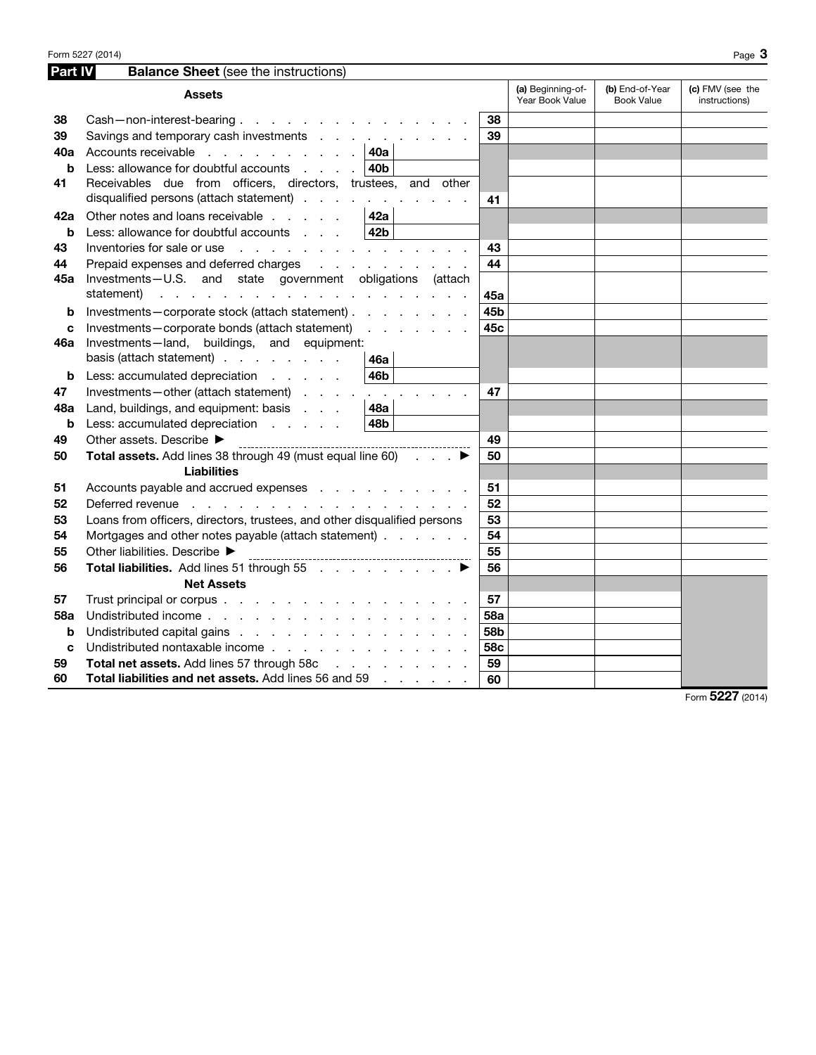| Part IV | <b>Balance Sheet</b> (see the instructions)                                                                                                                                                                                    |                          |                 |                                      |                                      |                                   |
|---------|--------------------------------------------------------------------------------------------------------------------------------------------------------------------------------------------------------------------------------|--------------------------|-----------------|--------------------------------------|--------------------------------------|-----------------------------------|
|         | <b>Assets</b>                                                                                                                                                                                                                  |                          |                 | (a) Beginning-of-<br>Year Book Value | (b) End-of-Year<br><b>Book Value</b> | (c) FMV (see the<br>instructions) |
| 38      | Cash-non-interest-bearing                                                                                                                                                                                                      |                          | 38              |                                      |                                      |                                   |
| 39      | Savings and temporary cash investments                                                                                                                                                                                         |                          | 39              |                                      |                                      |                                   |
| 40a     | Accounts receivable 40a                                                                                                                                                                                                        |                          |                 |                                      |                                      |                                   |
| b       | Less: allowance for doubtful accounts                                                                                                                                                                                          | 40b                      |                 |                                      |                                      |                                   |
| 41      | Receivables due from officers, directors, trustees, and other<br>disqualified persons (attach statement)                                                                                                                       |                          | 41              |                                      |                                      |                                   |
| 42a     | Other notes and loans receivable                                                                                                                                                                                               | 42a                      |                 |                                      |                                      |                                   |
| b       | Less: allowance for doubtful accounts                                                                                                                                                                                          | 42 <b>b</b>              |                 |                                      |                                      |                                   |
| 43      | Inventories for sale or use reader and contact the contact of the contact of the contact of the contact of the contact of the contact of the contact of the contact of the contact of the contact of the contact of the contac |                          | 43              |                                      |                                      |                                   |
| 44      | Prepaid expenses and deferred charges                                                                                                                                                                                          | <u>.</u>                 | 44              |                                      |                                      |                                   |
| 45а     | Investments-U.S. and state government obligations (attach                                                                                                                                                                      |                          |                 |                                      |                                      |                                   |
|         | statement)<br>the contract of the contract of the contract of the contract of                                                                                                                                                  |                          | 45a             |                                      |                                      |                                   |
| b       | Investments-corporate stock (attach statement)                                                                                                                                                                                 |                          | 45b             |                                      |                                      |                                   |
| c       | Investments-corporate bonds (attach statement)                                                                                                                                                                                 | and a state of the state | 45c             |                                      |                                      |                                   |
| 46a     | Investments-land, buildings, and equipment:                                                                                                                                                                                    |                          |                 |                                      |                                      |                                   |
|         | basis (attach statement)                                                                                                                                                                                                       | 46a                      |                 |                                      |                                      |                                   |
| b       | Less: accumulated depreciation                                                                                                                                                                                                 | 46b                      |                 |                                      |                                      |                                   |
| 47      | Investments-other (attach statement)                                                                                                                                                                                           |                          | 47              |                                      |                                      |                                   |
| 48a     | Land, buildings, and equipment: basis                                                                                                                                                                                          | <b>48a</b>               |                 |                                      |                                      |                                   |
| b       | Less: accumulated depreciation                                                                                                                                                                                                 | 48b                      |                 |                                      |                                      |                                   |
| 49      | Other assets. Describe ▶                                                                                                                                                                                                       |                          | 49              |                                      |                                      |                                   |
| 50      | Total assets. Add lines 38 through 49 (must equal line 60)                                                                                                                                                                     | and a state              | 50              |                                      |                                      |                                   |
|         | <b>Liabilities</b>                                                                                                                                                                                                             |                          |                 |                                      |                                      |                                   |
| 51      | Accounts payable and accrued expenses                                                                                                                                                                                          |                          | 51              |                                      |                                      |                                   |
| 52      | Deferred revenue response a contract to contract the contract of the contract of the contract of the contract of                                                                                                               |                          | 52              |                                      |                                      |                                   |
| 53      | Loans from officers, directors, trustees, and other disqualified persons                                                                                                                                                       |                          | 53              |                                      |                                      |                                   |
| 54      | Mortgages and other notes payable (attach statement)                                                                                                                                                                           |                          | 54              |                                      |                                      |                                   |
| 55      | Other liabilities. Describe ▶                                                                                                                                                                                                  |                          | 55              |                                      |                                      |                                   |
| 56      | Total liabilities. Add lines 51 through 55                                                                                                                                                                                     |                          | 56              |                                      |                                      |                                   |
|         | <b>Net Assets</b>                                                                                                                                                                                                              |                          |                 |                                      |                                      |                                   |
| 57      | Trust principal or corpus                                                                                                                                                                                                      |                          | 57              |                                      |                                      |                                   |
| 58a     | Undistributed income                                                                                                                                                                                                           |                          | <b>58a</b>      |                                      |                                      |                                   |
| b       | Undistributed capital gains                                                                                                                                                                                                    |                          | 58 <sub>b</sub> |                                      |                                      |                                   |
| C       | Undistributed nontaxable income                                                                                                                                                                                                |                          | 58c             |                                      |                                      |                                   |
| 59      | Total net assets. Add lines 57 through 58c                                                                                                                                                                                     |                          | 59              |                                      |                                      |                                   |
| 60      | Total liabilities and net assets. Add lines 56 and 59                                                                                                                                                                          |                          | 60              |                                      |                                      |                                   |

Form 5227 (2014)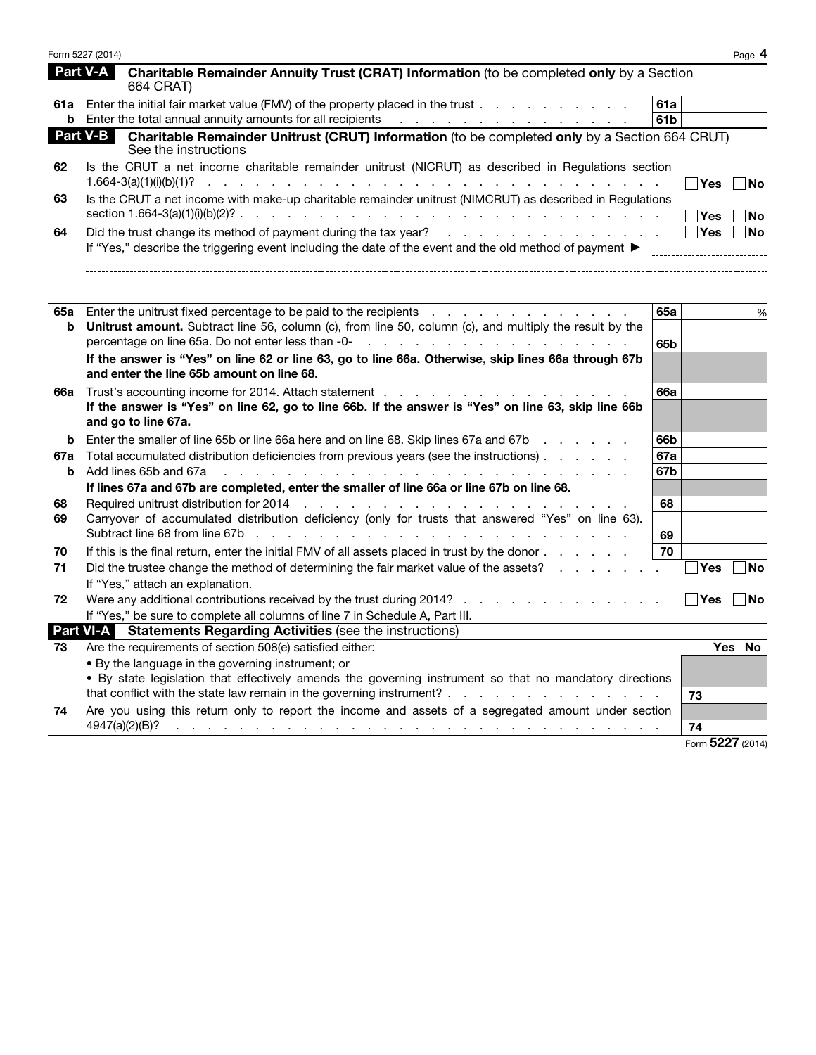|     | Form 5227 (2014) |                                                                                                                                                                                                                                                                                                                                                              |                 |            | Page 4           |
|-----|------------------|--------------------------------------------------------------------------------------------------------------------------------------------------------------------------------------------------------------------------------------------------------------------------------------------------------------------------------------------------------------|-----------------|------------|------------------|
|     | <b>Part V-A</b>  | Charitable Remainder Annuity Trust (CRAT) Information (to be completed only by a Section<br>664 CRAT)                                                                                                                                                                                                                                                        |                 |            |                  |
|     |                  | 61a Enter the initial fair market value (FMV) of the property placed in the trust                                                                                                                                                                                                                                                                            | 61a             |            |                  |
|     |                  | <b>b</b> Enter the total annual annuity amounts for all recipients                                                                                                                                                                                                                                                                                           | 61 <sub>b</sub> |            |                  |
|     | Part V-B         | Charitable Remainder Unitrust (CRUT) Information (to be completed only by a Section 664 CRUT)<br>See the instructions                                                                                                                                                                                                                                        |                 |            |                  |
| 62  |                  | Is the CRUT a net income charitable remainder unitrust (NICRUT) as described in Regulations section<br>$1.664 - 3(a)(1)(i)(b)(1)?$<br>المتالي والمستقل والمستقل والمستقل والمستقل والمستقل والمستقل والمستقل والمستقل والمستقل والمستقل والمستقل                                                                                                             |                 | Yes        | No               |
| 63  |                  | Is the CRUT a net income with make-up charitable remainder unitrust (NIMCRUT) as described in Regulations                                                                                                                                                                                                                                                    |                 | Yes        | No               |
| 64  |                  |                                                                                                                                                                                                                                                                                                                                                              |                 | <b>Yes</b> | No               |
|     |                  | If "Yes," describe the triggering event including the date of the event and the old method of payment $\blacktriangleright$                                                                                                                                                                                                                                  |                 |            |                  |
| 65а |                  | Enter the unitrust fixed percentage to be paid to the recipients                                                                                                                                                                                                                                                                                             | 65а             |            | %                |
| b   |                  | Unitrust amount. Subtract line 56, column (c), from line 50, column (c), and multiply the result by the<br>percentage on line 65a. Do not enter less than -0-<br>and the state of the state of the state of the state of the state of the state of the state of the state of the state of the state of the state of the state of the state                   | 65b             |            |                  |
|     |                  | If the answer is "Yes" on line 62 or line 63, go to line 66a. Otherwise, skip lines 66a through 67b<br>and enter the line 65b amount on line 68.                                                                                                                                                                                                             |                 |            |                  |
| 66a |                  | Trust's accounting income for 2014. Attach statement enterstanding in the statement of the statement of the statement of the statement of the statement of the statement of the statement of the statement of the statement of<br>If the answer is "Yes" on line 62, go to line 66b. If the answer is "Yes" on line 63, skip line 66b<br>and go to line 67a. | <b>66a</b>      |            |                  |
| b   |                  | Enter the smaller of line 65b or line 66a here and on line 68. Skip lines 67a and 67b                                                                                                                                                                                                                                                                        | 66b             |            |                  |
| 67a |                  | Total accumulated distribution deficiencies from previous years (see the instructions)                                                                                                                                                                                                                                                                       | <b>67a</b>      |            |                  |
| b   |                  | Add lines 65b and 67a<br>والمتواطن والمتواطن والمتواطن والمتواطن والمتواطن والمتواطن والمتواطن والمتواطن والمتواطن والمتواطن                                                                                                                                                                                                                                 | 67b             |            |                  |
|     |                  | If lines 67a and 67b are completed, enter the smaller of line 66a or line 67b on line 68.                                                                                                                                                                                                                                                                    |                 |            |                  |
| 68  |                  |                                                                                                                                                                                                                                                                                                                                                              | 68              |            |                  |
| 69  |                  | Carryover of accumulated distribution deficiency (only for trusts that answered "Yes" on line 63).                                                                                                                                                                                                                                                           |                 |            |                  |
|     |                  |                                                                                                                                                                                                                                                                                                                                                              | 69              |            |                  |
| 70  |                  | If this is the final return, enter the initial FMV of all assets placed in trust by the donor                                                                                                                                                                                                                                                                | 70              |            |                  |
| 71  |                  | Did the trustee change the method of determining the fair market value of the assets?                                                                                                                                                                                                                                                                        |                 | Yes        | No               |
|     |                  | If "Yes," attach an explanation.                                                                                                                                                                                                                                                                                                                             |                 |            |                  |
| 72  |                  | Were any additional contributions received by the trust during 2014?                                                                                                                                                                                                                                                                                         |                 |            | $ Yes $ $ No$    |
|     |                  | If "Yes," be sure to complete all columns of line 7 in Schedule A, Part III.                                                                                                                                                                                                                                                                                 |                 |            |                  |
|     |                  | <b>Part VI-A</b> Statements Regarding Activities (see the instructions)                                                                                                                                                                                                                                                                                      |                 |            |                  |
|     |                  | 73 Are the requirements of section 508(e) satisfied either:                                                                                                                                                                                                                                                                                                  |                 |            | $ Yes $ No       |
|     |                  | • By the language in the governing instrument; or                                                                                                                                                                                                                                                                                                            |                 |            |                  |
|     |                  | . By state legislation that effectively amends the governing instrument so that no mandatory directions                                                                                                                                                                                                                                                      |                 |            |                  |
|     |                  |                                                                                                                                                                                                                                                                                                                                                              |                 | 73         |                  |
| 74  |                  | Are you using this return only to report the income and assets of a segregated amount under section                                                                                                                                                                                                                                                          |                 |            |                  |
|     |                  | 4947(a)(2)(B)?<br>بمناقض والمستحدث والمستحدث والمستحدث والمستحدث والمستحدث والمستحدث والمستحدث والمستحدث والمستحدث                                                                                                                                                                                                                                           |                 | 74         |                  |
|     |                  |                                                                                                                                                                                                                                                                                                                                                              |                 |            | Form 5227 (2014) |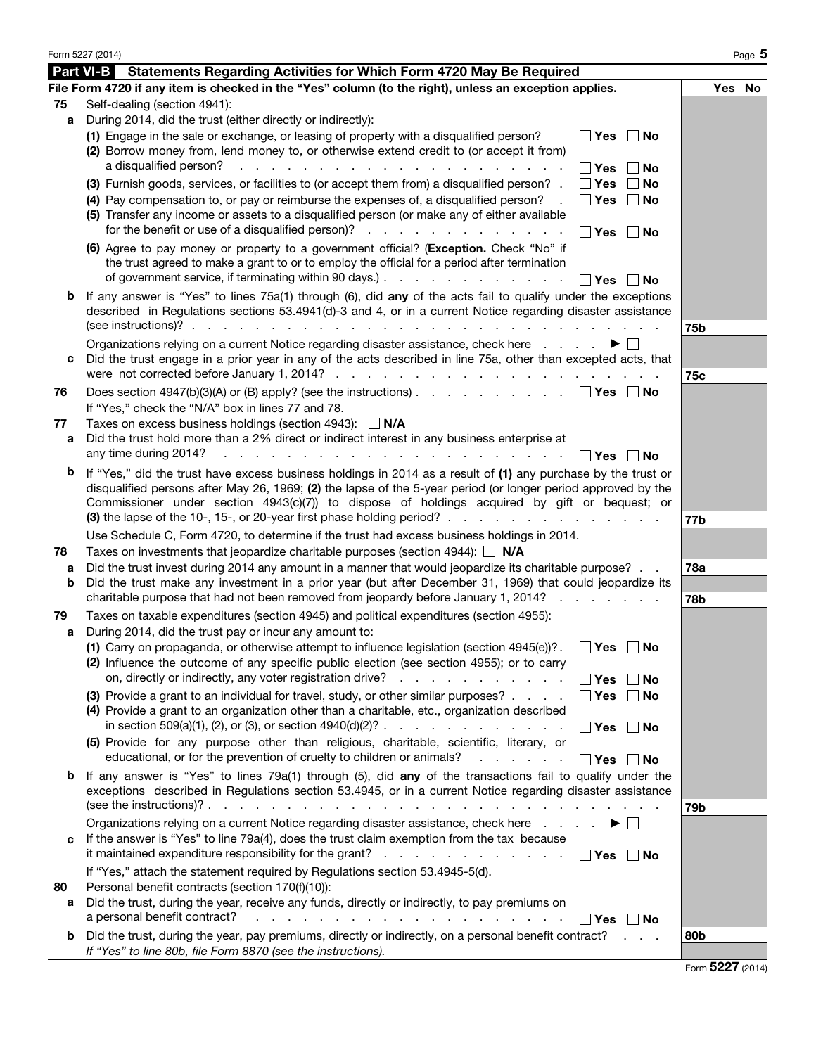|    | Form 5227 (2014)                                                                                                                                                                                                                                                                                                                                                                                                                                              |            |     | Page 5 |
|----|---------------------------------------------------------------------------------------------------------------------------------------------------------------------------------------------------------------------------------------------------------------------------------------------------------------------------------------------------------------------------------------------------------------------------------------------------------------|------------|-----|--------|
|    | <b>Part VI-B</b> Statements Regarding Activities for Which Form 4720 May Be Required                                                                                                                                                                                                                                                                                                                                                                          |            |     |        |
|    | File Form 4720 if any item is checked in the "Yes" column (to the right), unless an exception applies.                                                                                                                                                                                                                                                                                                                                                        |            | Yes | No     |
| 75 | Self-dealing (section 4941):                                                                                                                                                                                                                                                                                                                                                                                                                                  |            |     |        |
| a  | During 2014, did the trust (either directly or indirectly):                                                                                                                                                                                                                                                                                                                                                                                                   |            |     |        |
|    | (1) Engage in the sale or exchange, or leasing of property with a disqualified person?<br>∣ ∣Yes<br>$\sqcap$ No<br>(2) Borrow money from, lend money to, or otherwise extend credit to (or accept it from)<br>a disqualified person?<br><b>Service State</b><br><b>Contract Contract</b>                                                                                                                                                                      |            |     |        |
|    | ∣ l Yes<br>No<br>(3) Furnish goods, services, or facilities to (or accept them from) a disqualified person? .<br>Yes<br>No                                                                                                                                                                                                                                                                                                                                    |            |     |        |
|    | (4) Pay compensation to, or pay or reimburse the expenses of, a disqualified person?<br>∣ ∣Yes<br>∣No<br>(5) Transfer any income or assets to a disqualified person (or make any of either available<br>for the benefit or use of a disqualified person)?<br>∣ ∣Yes<br>∣No                                                                                                                                                                                    |            |     |        |
|    | (6) Agree to pay money or property to a government official? (Exception. Check "No" if<br>the trust agreed to make a grant to or to employ the official for a period after termination<br>of government service, if terminating within 90 days.)<br>∣ l Yes<br>∣No                                                                                                                                                                                            |            |     |        |
| b  | If any answer is "Yes" to lines 75a(1) through (6), did any of the acts fail to qualify under the exceptions<br>described in Regulations sections 53.4941(d)-3 and 4, or in a current Notice regarding disaster assistance                                                                                                                                                                                                                                    | 75b        |     |        |
|    | Organizations relying on a current Notice regarding disaster assistance, check here                                                                                                                                                                                                                                                                                                                                                                           |            |     |        |
| c  | Did the trust engage in a prior year in any of the acts described in line 75a, other than excepted acts, that                                                                                                                                                                                                                                                                                                                                                 |            |     |        |
|    |                                                                                                                                                                                                                                                                                                                                                                                                                                                               | 75c        |     |        |
| 76 | Does section 4947(b)(3)(A) or (B) apply? (see the instructions) $\ldots$ $\ldots$ $\ldots$ $\ldots$<br>∣∣Yes ∣∣No<br>If "Yes," check the "N/A" box in lines 77 and 78.                                                                                                                                                                                                                                                                                        |            |     |        |
| 77 | Taxes on excess business holdings (section 4943): $\Box$ N/A                                                                                                                                                                                                                                                                                                                                                                                                  |            |     |        |
| а  | Did the trust hold more than a 2% direct or indirect interest in any business enterprise at<br>any time during 2014?<br>∣ l Yes∶<br>∣ ∣No                                                                                                                                                                                                                                                                                                                     |            |     |        |
| b  | If "Yes," did the trust have excess business holdings in 2014 as a result of (1) any purchase by the trust or<br>disqualified persons after May 26, 1969; (2) the lapse of the 5-year period (or longer period approved by the<br>Commissioner under section 4943(c)(7)) to dispose of holdings acquired by gift or bequest; or<br>(3) the lapse of the 10-, 15-, or 20-year first phase holding period? $\ldots$ , $\ldots$ , $\ldots$ , $\ldots$ , $\ldots$ | 77b        |     |        |
|    | Use Schedule C, Form 4720, to determine if the trust had excess business holdings in 2014.                                                                                                                                                                                                                                                                                                                                                                    |            |     |        |
| 78 | Taxes on investments that jeopardize charitable purposes (section 4944): $\Box$ N/A                                                                                                                                                                                                                                                                                                                                                                           |            |     |        |
| а  | Did the trust invest during 2014 any amount in a manner that would jeopardize its charitable purpose?                                                                                                                                                                                                                                                                                                                                                         | <b>78a</b> |     |        |
| b  | Did the trust make any investment in a prior year (but after December 31, 1969) that could jeopardize its                                                                                                                                                                                                                                                                                                                                                     |            |     |        |
|    | charitable purpose that had not been removed from jeopardy before January 1, 2014?                                                                                                                                                                                                                                                                                                                                                                            | 78b        |     |        |
| 79 | Taxes on taxable expenditures (section 4945) and political expenditures (section 4955):                                                                                                                                                                                                                                                                                                                                                                       |            |     |        |
| а  | During 2014, did the trust pay or incur any amount to:                                                                                                                                                                                                                                                                                                                                                                                                        |            |     |        |
|    | (1) Carry on propaganda, or otherwise attempt to influence legislation (section 4945(e))?.<br>$\Box$ Yes $\Box$ No<br>(2) Influence the outcome of any specific public election (see section 4955); or to carry<br>on, directly or indirectly, any voter registration drive?<br>$\blacksquare$ Yes<br>∣No                                                                                                                                                     |            |     |        |
|    | (3) Provide a grant to an individual for travel, study, or other similar purposes?<br>∣ Yes<br>∣No<br>(4) Provide a grant to an organization other than a charitable, etc., organization described                                                                                                                                                                                                                                                            |            |     |        |
|    | ∣ Yes<br><b>No</b>                                                                                                                                                                                                                                                                                                                                                                                                                                            |            |     |        |
|    | (5) Provide for any purpose other than religious, charitable, scientific, literary, or<br>educational, or for the prevention of cruelty to children or animals?<br>│ Yes<br><b>No</b>                                                                                                                                                                                                                                                                         |            |     |        |
| b  | If any answer is "Yes" to lines 79a(1) through (5), did any of the transactions fail to qualify under the<br>exceptions described in Regulations section 53.4945, or in a current Notice regarding disaster assistance                                                                                                                                                                                                                                        | 79b        |     |        |
|    | Organizations relying on a current Notice regarding disaster assistance, check here                                                                                                                                                                                                                                                                                                                                                                           |            |     |        |
| c  | If the answer is "Yes" to line 79a(4), does the trust claim exemption from the tax because<br>it maintained expenditure responsibility for the grant?<br>$\Box$ Yes<br>$\Box$ No                                                                                                                                                                                                                                                                              |            |     |        |
|    | If "Yes," attach the statement required by Regulations section 53.4945-5(d).                                                                                                                                                                                                                                                                                                                                                                                  |            |     |        |
| 80 | Personal benefit contracts (section 170(f)(10)):<br>Did the trust, during the year, receive any funds, directly or indirectly, to pay premiums on                                                                                                                                                                                                                                                                                                             |            |     |        |
| а  | a personal benefit contract?<br>والمناور والمناور والمناور والمناور والمناور والمناور والمناور والمناور<br>∣No<br>∣ ∣Yes                                                                                                                                                                                                                                                                                                                                      |            |     |        |
|    | <b>b</b> Did the trust, during the year, pay premiums, directly or indirectly, on a personal benefit contract?<br><b>Contractor</b>                                                                                                                                                                                                                                                                                                                           | 80b        |     |        |
|    | If "Yes" to line 80b, file Form 8870 (see the instructions).                                                                                                                                                                                                                                                                                                                                                                                                  |            |     |        |

| Form 5227 (2014) |  |  |
|------------------|--|--|
|------------------|--|--|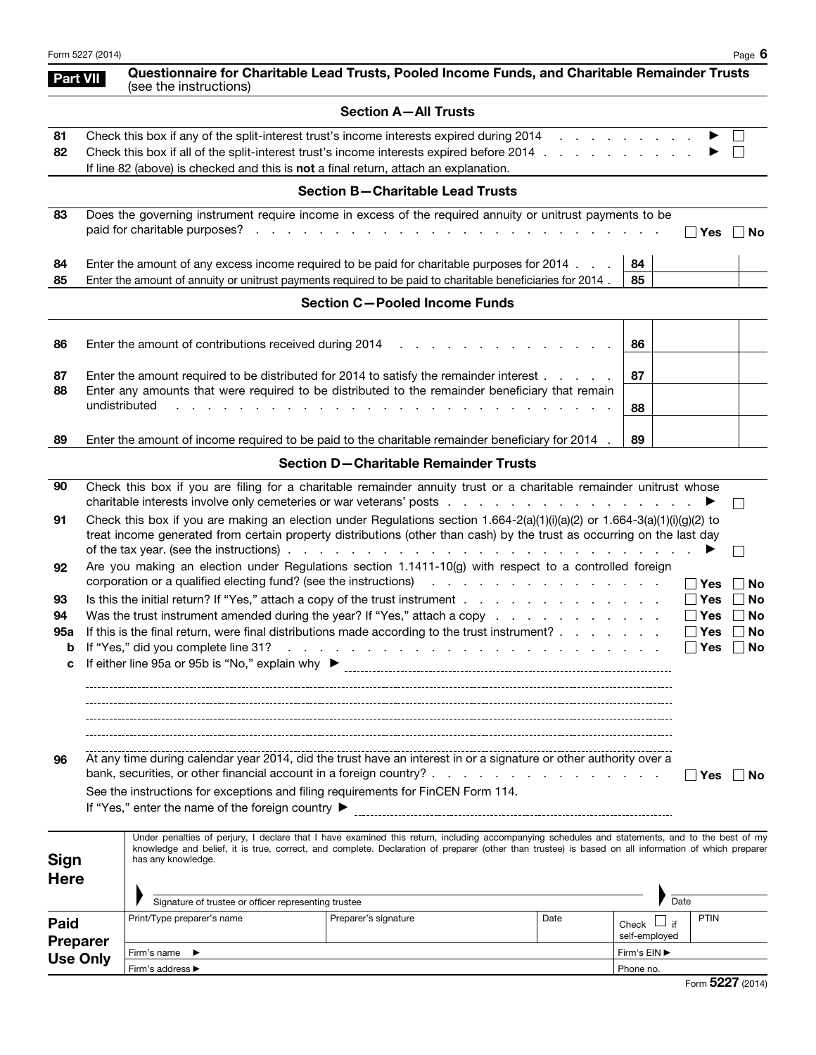| Form 5227 (2014) | $\epsilon$<br>-<br>Paqe<br>n. |
|------------------|-------------------------------|
|------------------|-------------------------------|

Use Only

Firm's name ▶ Firm's address ▶

Part VIII Questionnaire for Charitable Lead Trusts, Pooled Income Funds, and Charitable Remainder Trusts<br>(see the instructions)

|  | <b>Section A-All Trusts</b> |
|--|-----------------------------|
|--|-----------------------------|

|                                |                                                                                                                                                                                                            |                            |                                                                                                                                                                                                                                                                                                                                                                                                              |  |                      | Section A-All Trusts                    |  |                                                            |                          |      |                                                 |                             |
|--------------------------------|------------------------------------------------------------------------------------------------------------------------------------------------------------------------------------------------------------|----------------------------|--------------------------------------------------------------------------------------------------------------------------------------------------------------------------------------------------------------------------------------------------------------------------------------------------------------------------------------------------------------------------------------------------------------|--|----------------------|-----------------------------------------|--|------------------------------------------------------------|--------------------------|------|-------------------------------------------------|-----------------------------|
| 81<br>82                       |                                                                                                                                                                                                            |                            | Check this box if any of the split-interest trust's income interests expired during 2014<br>Check this box if all of the split-interest trust's income interests expired before 2014<br>If line 82 (above) is checked and this is not a final return, attach an explanation.                                                                                                                                 |  |                      |                                         |  |                                                            |                          |      |                                                 |                             |
|                                |                                                                                                                                                                                                            |                            |                                                                                                                                                                                                                                                                                                                                                                                                              |  |                      | <b>Section B-Charitable Lead Trusts</b> |  |                                                            |                          |      |                                                 |                             |
| 83                             |                                                                                                                                                                                                            |                            | Does the governing instrument require income in excess of the required annuity or unitrust payments to be                                                                                                                                                                                                                                                                                                    |  |                      |                                         |  |                                                            |                          |      | ∣ ∣Yes                                          | ∣No                         |
| 84<br>85                       |                                                                                                                                                                                                            |                            | Enter the amount of any excess income required to be paid for charitable purposes for 2014<br>Enter the amount of annuity or unitrust payments required to be paid to charitable beneficiaries for 2014.                                                                                                                                                                                                     |  |                      |                                         |  |                                                            | 84<br>85                 |      |                                                 |                             |
|                                |                                                                                                                                                                                                            |                            |                                                                                                                                                                                                                                                                                                                                                                                                              |  |                      | <b>Section C-Pooled Income Funds</b>    |  |                                                            |                          |      |                                                 |                             |
| 86                             |                                                                                                                                                                                                            |                            | Enter the amount of contributions received during 2014                                                                                                                                                                                                                                                                                                                                                       |  |                      |                                         |  |                                                            | 86                       |      |                                                 |                             |
| 87<br>88                       | Enter the amount required to be distributed for 2014 to satisfy the remainder interest<br>Enter any amounts that were required to be distributed to the remainder beneficiary that remain<br>undistributed |                            |                                                                                                                                                                                                                                                                                                                                                                                                              |  |                      |                                         |  | 87<br>88                                                   |                          |      |                                                 |                             |
| 89                             |                                                                                                                                                                                                            |                            | Enter the amount of income required to be paid to the charitable remainder beneficiary for 2014 .                                                                                                                                                                                                                                                                                                            |  |                      |                                         |  |                                                            | 89                       |      |                                                 |                             |
|                                |                                                                                                                                                                                                            |                            |                                                                                                                                                                                                                                                                                                                                                                                                              |  |                      | Section D-Charitable Remainder Trusts   |  |                                                            |                          |      |                                                 |                             |
| 90                             |                                                                                                                                                                                                            |                            | Check this box if you are filing for a charitable remainder annuity trust or a charitable remainder unitrust whose                                                                                                                                                                                                                                                                                           |  |                      |                                         |  |                                                            |                          |      |                                                 |                             |
| 91                             |                                                                                                                                                                                                            |                            | Check this box if you are making an election under Regulations section $1.664-2(a)(1)(i)(a)(2)$ or $1.664-3(a)(1)(i)(g)(2)$ to<br>treat income generated from certain property distributions (other than cash) by the trust as occurring on the last day                                                                                                                                                     |  |                      |                                         |  |                                                            |                          |      |                                                 |                             |
| 92                             |                                                                                                                                                                                                            |                            | Are you making an election under Regulations section 1.1411-10(g) with respect to a controlled foreign<br>corporation or a qualified electing fund? (see the instructions) and a contract of the corporation or a qualified electing fund? (see the instructions)                                                                                                                                            |  |                      |                                         |  |                                                            |                          |      | ∣ ∣Yes                                          | No                          |
| 93<br>94<br>95a<br>b<br>c      |                                                                                                                                                                                                            |                            | Is this the initial return? If "Yes," attach a copy of the trust instrument<br>Was the trust instrument amended during the year? If "Yes," attach a copy<br>If this is the final return, were final distributions made according to the trust instrument?<br>If "Yes," did you complete line 31?                                                                                                             |  |                      |                                         |  | <u>. Kara masa sa kasa sa kasa sa kasa sa kasa sa kasa</u> |                          |      | $\Box$ Yes<br>$\Box$ Yes<br>$\Box$ Yes<br>∣ Yes | No<br>No<br>No<br><b>No</b> |
| 96                             |                                                                                                                                                                                                            |                            | At any time during calendar year 2014, did the trust have an interest in or a signature or other authority over a<br>See the instructions for exceptions and filing requirements for FinCEN Form 114.<br>If "Yes," enter the name of the foreign country ▶<br>Under penalties of perjury, I declare that I have examined this return, including accompanying schedules and statements, and to the best of my |  |                      |                                         |  |                                                            |                          |      | ∣ l Yes                                         | l No                        |
| Sign<br><b>Here</b>            |                                                                                                                                                                                                            | has any knowledge.         | knowledge and belief, it is true, correct, and complete. Declaration of preparer (other than trustee) is based on all information of which preparer                                                                                                                                                                                                                                                          |  |                      |                                         |  |                                                            |                          |      |                                                 |                             |
|                                |                                                                                                                                                                                                            | Print/Type preparer's name | Signature of trustee or officer representing trustee                                                                                                                                                                                                                                                                                                                                                         |  | Preparer's signature |                                         |  | Date                                                       |                          | Date | <b>PTIN</b>                                     |                             |
| <b>Paid</b><br><b>Preparer</b> |                                                                                                                                                                                                            |                            |                                                                                                                                                                                                                                                                                                                                                                                                              |  |                      |                                         |  |                                                            | Check L<br>self-employed | ⊿ if |                                                 |                             |

Firm's EIN ▶ Phone no.